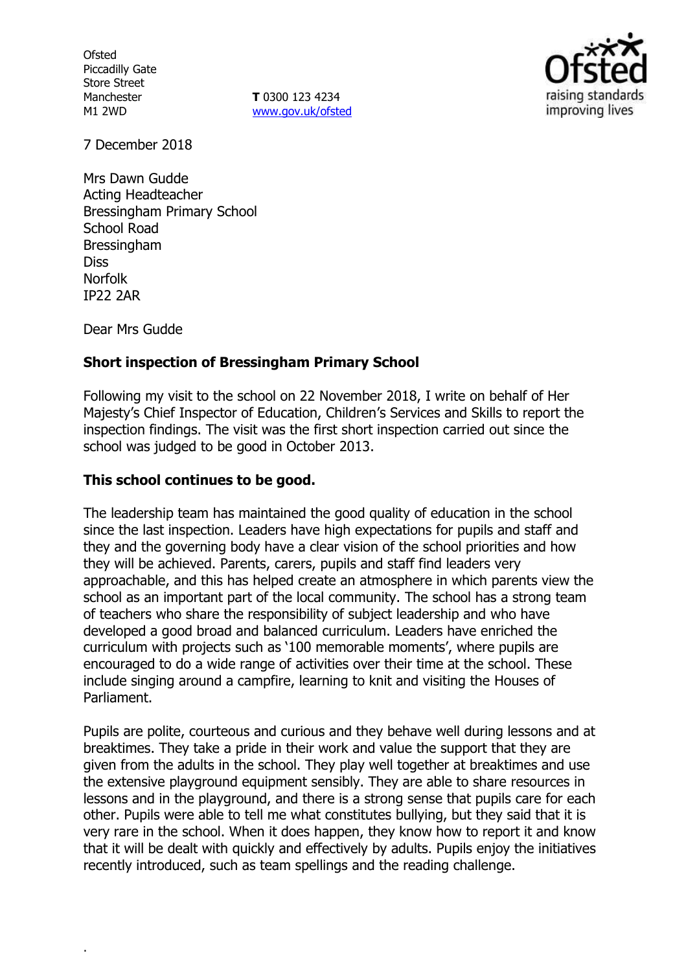**Ofsted** Piccadilly Gate Store Street Manchester M1 2WD

**T** 0300 123 4234 www.gov.uk/ofsted



7 December 2018

Mrs Dawn Gudde Acting Headteacher Bressingham Primary School School Road Bressingham Diss Norfolk IP22 2AR

Dear Mrs Gudde

.

### **Short inspection of Bressingham Primary School**

Following my visit to the school on 22 November 2018, I write on behalf of Her Majesty's Chief Inspector of Education, Children's Services and Skills to report the inspection findings. The visit was the first short inspection carried out since the school was judged to be good in October 2013.

#### **This school continues to be good.**

The leadership team has maintained the good quality of education in the school since the last inspection. Leaders have high expectations for pupils and staff and they and the governing body have a clear vision of the school priorities and how they will be achieved. Parents, carers, pupils and staff find leaders very approachable, and this has helped create an atmosphere in which parents view the school as an important part of the local community. The school has a strong team of teachers who share the responsibility of subject leadership and who have developed a good broad and balanced curriculum. Leaders have enriched the curriculum with projects such as '100 memorable moments', where pupils are encouraged to do a wide range of activities over their time at the school. These include singing around a campfire, learning to knit and visiting the Houses of Parliament.

Pupils are polite, courteous and curious and they behave well during lessons and at breaktimes. They take a pride in their work and value the support that they are given from the adults in the school. They play well together at breaktimes and use the extensive playground equipment sensibly. They are able to share resources in lessons and in the playground, and there is a strong sense that pupils care for each other. Pupils were able to tell me what constitutes bullying, but they said that it is very rare in the school. When it does happen, they know how to report it and know that it will be dealt with quickly and effectively by adults. Pupils enjoy the initiatives recently introduced, such as team spellings and the reading challenge.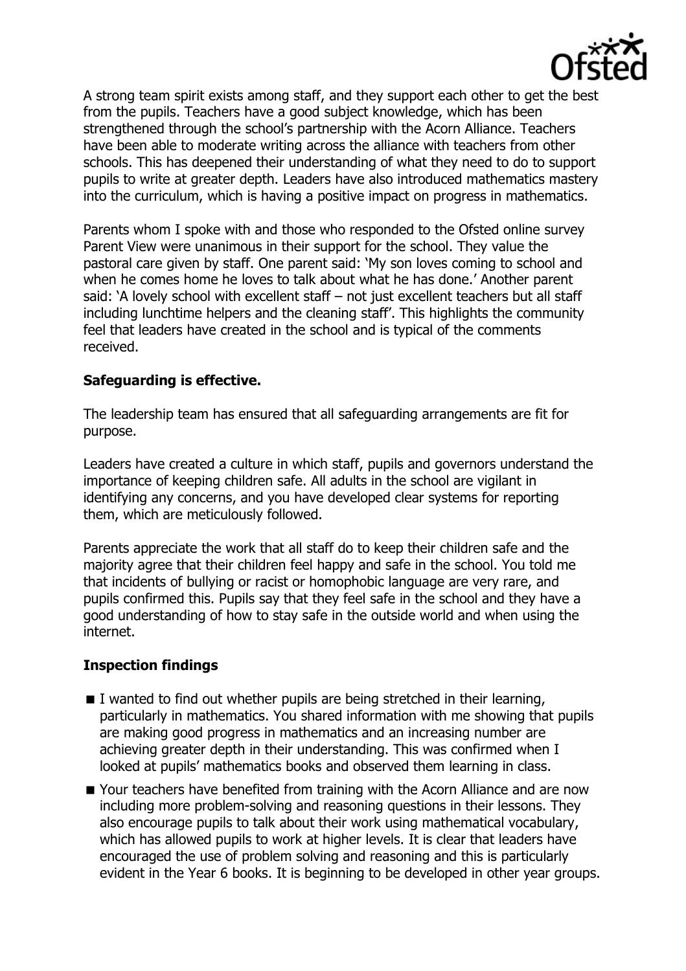

A strong team spirit exists among staff, and they support each other to get the best from the pupils. Teachers have a good subject knowledge, which has been strengthened through the school's partnership with the Acorn Alliance. Teachers have been able to moderate writing across the alliance with teachers from other schools. This has deepened their understanding of what they need to do to support pupils to write at greater depth. Leaders have also introduced mathematics mastery into the curriculum, which is having a positive impact on progress in mathematics.

Parents whom I spoke with and those who responded to the Ofsted online survey Parent View were unanimous in their support for the school. They value the pastoral care given by staff. One parent said: 'My son loves coming to school and when he comes home he loves to talk about what he has done.' Another parent said: 'A lovely school with excellent staff – not just excellent teachers but all staff including lunchtime helpers and the cleaning staff'. This highlights the community feel that leaders have created in the school and is typical of the comments received.

### **Safeguarding is effective.**

The leadership team has ensured that all safeguarding arrangements are fit for purpose.

Leaders have created a culture in which staff, pupils and governors understand the importance of keeping children safe. All adults in the school are vigilant in identifying any concerns, and you have developed clear systems for reporting them, which are meticulously followed.

Parents appreciate the work that all staff do to keep their children safe and the majority agree that their children feel happy and safe in the school. You told me that incidents of bullying or racist or homophobic language are very rare, and pupils confirmed this. Pupils say that they feel safe in the school and they have a good understanding of how to stay safe in the outside world and when using the internet.

# **Inspection findings**

- $\blacksquare$  I wanted to find out whether pupils are being stretched in their learning, particularly in mathematics. You shared information with me showing that pupils are making good progress in mathematics and an increasing number are achieving greater depth in their understanding. This was confirmed when I looked at pupils' mathematics books and observed them learning in class.
- **Nour teachers have benefited from training with the Acorn Alliance and are now** including more problem-solving and reasoning questions in their lessons. They also encourage pupils to talk about their work using mathematical vocabulary, which has allowed pupils to work at higher levels. It is clear that leaders have encouraged the use of problem solving and reasoning and this is particularly evident in the Year 6 books. It is beginning to be developed in other year groups.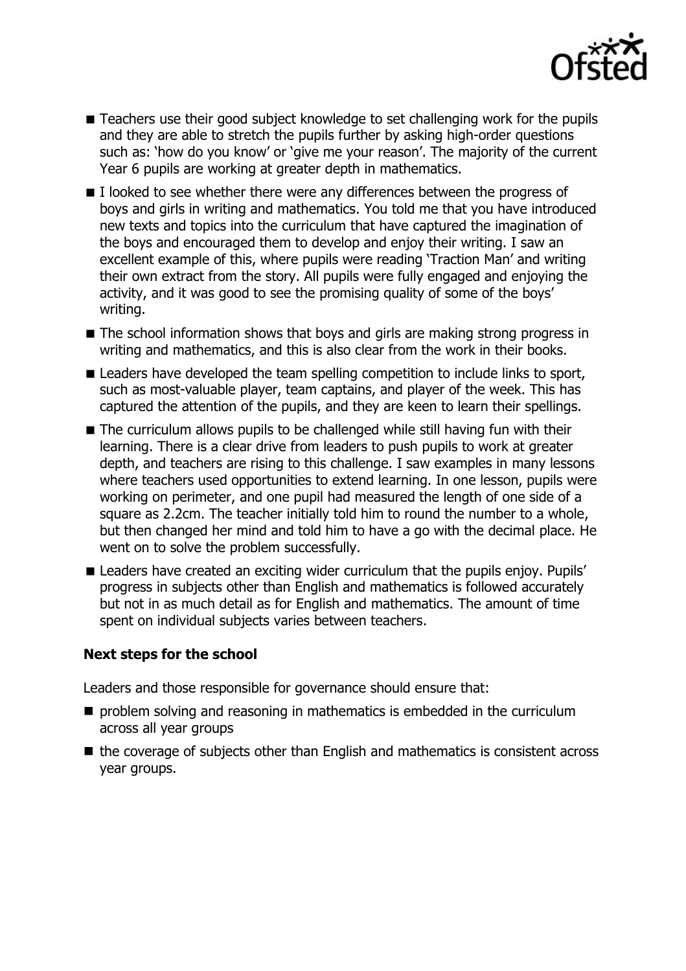

- Teachers use their good subject knowledge to set challenging work for the pupils and they are able to stretch the pupils further by asking high-order questions such as: 'how do you know' or 'give me your reason'. The majority of the current Year 6 pupils are working at greater depth in mathematics.
- $\blacksquare$  I looked to see whether there were any differences between the progress of boys and girls in writing and mathematics. You told me that you have introduced new texts and topics into the curriculum that have captured the imagination of the boys and encouraged them to develop and enjoy their writing. I saw an excellent example of this, where pupils were reading 'Traction Man' and writing their own extract from the story. All pupils were fully engaged and enjoying the activity, and it was good to see the promising quality of some of the boys' writing.
- The school information shows that boys and girls are making strong progress in writing and mathematics, and this is also clear from the work in their books.
- Leaders have developed the team spelling competition to include links to sport, such as most-valuable player, team captains, and player of the week. This has captured the attention of the pupils, and they are keen to learn their spellings.
- The curriculum allows pupils to be challenged while still having fun with their learning. There is a clear drive from leaders to push pupils to work at greater depth, and teachers are rising to this challenge. I saw examples in many lessons where teachers used opportunities to extend learning. In one lesson, pupils were working on perimeter, and one pupil had measured the length of one side of a square as 2.2cm. The teacher initially told him to round the number to a whole, but then changed her mind and told him to have a go with the decimal place. He went on to solve the problem successfully.
- Leaders have created an exciting wider curriculum that the pupils enjoy. Pupils' progress in subjects other than English and mathematics is followed accurately but not in as much detail as for English and mathematics. The amount of time spent on individual subjects varies between teachers.

### **Next steps for the school**

Leaders and those responsible for governance should ensure that:

- $\blacksquare$  problem solving and reasoning in mathematics is embedded in the curriculum across all year groups
- $\blacksquare$  the coverage of subjects other than English and mathematics is consistent across year groups.